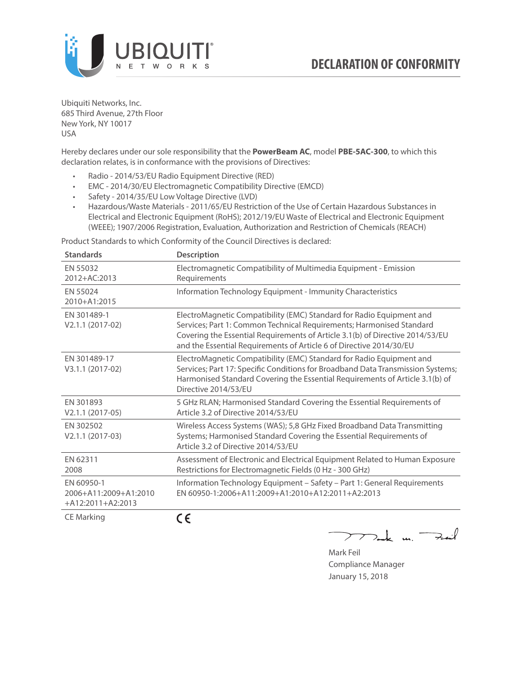

Ubiquiti Networks, Inc. 685 Third Avenue, 27th Floor New York, NY 10017 USA

Hereby declares under our sole responsibility that the **PowerBeam AC**, model **PBE-5AC-300**, to which this declaration relates, is in conformance with the provisions of Directives:

- Radio 2014/53/EU Radio Equipment Directive (RED)
- EMC 2014/30/EU Electromagnetic Compatibility Directive (EMCD)
- Safety 2014/35/EU Low Voltage Directive (LVD)
- Hazardous/Waste Materials 2011/65/EU Restriction of the Use of Certain Hazardous Substances in Electrical and Electronic Equipment (RoHS); 2012/19/EU Waste of Electrical and Electronic Equipment (WEEE); 1907/2006 Registration, Evaluation, Authorization and Restriction of Chemicals (REACH)

Product Standards to which Conformity of the Council Directives is declared:

| <b>Standards</b>                                           | <b>Description</b>                                                                                                                                                                                                                                                                                   |
|------------------------------------------------------------|------------------------------------------------------------------------------------------------------------------------------------------------------------------------------------------------------------------------------------------------------------------------------------------------------|
| EN 55032<br>2012+AC:2013                                   | Electromagnetic Compatibility of Multimedia Equipment - Emission<br>Requirements                                                                                                                                                                                                                     |
| EN 55024<br>2010+A1:2015                                   | Information Technology Equipment - Immunity Characteristics                                                                                                                                                                                                                                          |
| EN 301489-1<br>V2.1.1 (2017-02)                            | ElectroMagnetic Compatibility (EMC) Standard for Radio Equipment and<br>Services; Part 1: Common Technical Requirements; Harmonised Standard<br>Covering the Essential Requirements of Article 3.1(b) of Directive 2014/53/EU<br>and the Essential Requirements of Article 6 of Directive 2014/30/EU |
| EN 301489-17<br>V3.1.1 (2017-02)                           | ElectroMagnetic Compatibility (EMC) Standard for Radio Equipment and<br>Services; Part 17: Specific Conditions for Broadband Data Transmission Systems;<br>Harmonised Standard Covering the Essential Requirements of Article 3.1(b) of<br>Directive 2014/53/EU                                      |
| EN 301893<br>$V2.1.1 (2017-05)$                            | 5 GHz RLAN; Harmonised Standard Covering the Essential Requirements of<br>Article 3.2 of Directive 2014/53/EU                                                                                                                                                                                        |
| EN 302502<br>V2.1.1 (2017-03)                              | Wireless Access Systems (WAS); 5,8 GHz Fixed Broadband Data Transmitting<br>Systems; Harmonised Standard Covering the Essential Requirements of<br>Article 3.2 of Directive 2014/53/EU                                                                                                               |
| EN 62311<br>2008                                           | Assessment of Electronic and Electrical Equipment Related to Human Exposure<br>Restrictions for Electromagnetic Fields (0 Hz - 300 GHz)                                                                                                                                                              |
| EN 60950-1<br>2006+A11:2009+A1:2010<br>$+A12:2011+A2:2013$ | Information Technology Equipment - Safety - Part 1: General Requirements<br>FN 60950-1:2006+A11:2009+A1:2010+A12:2011+A2:2013                                                                                                                                                                        |
| <b>CE Marking</b>                                          | ( E                                                                                                                                                                                                                                                                                                  |

つつ

 $\sum$  de un Fail

Mark Feil Compliance Manager January 15, 2018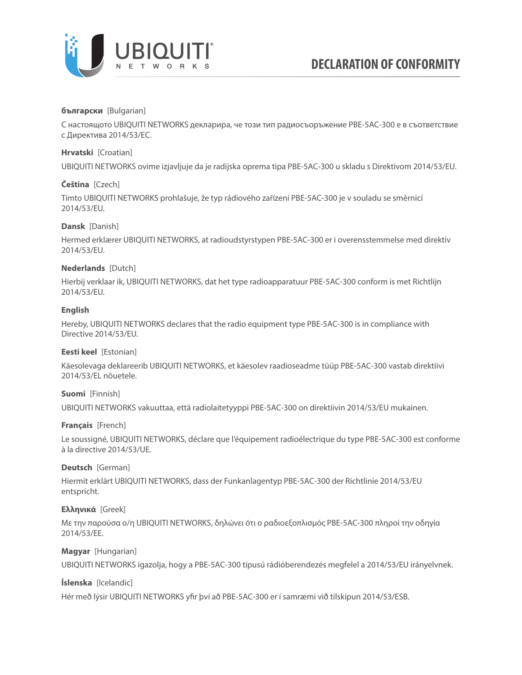

# **български** [Bulgarian]

С настоящото UBIQUITI NETWORKS декларира, че този тип радиосъоръжение PBE-5AC-300 е в съответствие с Директива 2014/53/ЕС.

# **Hrvatski** [Croatian]

UBIQUITI NETWORKS ovime izjavljuje da je radijska oprema tipa PBE-5AC-300 u skladu s Direktivom 2014/53/EU.

# **Čeština** [Czech]

Tímto UBIQUITI NETWORKS prohlašuje, že typ rádiového zařízení PBE-5AC-300 je v souladu se směrnicí 2014/53/EU.

# **Dansk** [Danish]

Hermed erklærer UBIQUITI NETWORKS, at radioudstyrstypen PBE-5AC-300 er i overensstemmelse med direktiv 2014/53/EU.

# **Nederlands** [Dutch]

Hierbij verklaar ik, UBIQUITI NETWORKS, dat het type radioapparatuur PBE-5AC-300 conform is met Richtlijn 2014/53/EU.

### **English**

Hereby, UBIQUITI NETWORKS declares that the radio equipment type PBE-5AC-300 is in compliance with Directive 2014/53/EU.

# **Eesti keel** [Estonian]

Käesolevaga deklareerib UBIQUITI NETWORKS, et käesolev raadioseadme tüüp PBE-5AC-300 vastab direktiivi 2014/53/EL nõuetele.

# **Suomi** [Finnish]

UBIQUITI NETWORKS vakuuttaa, että radiolaitetyyppi PBE-5AC-300 on direktiivin 2014/53/EU mukainen.

# **Français** [French]

Le soussigné, UBIQUITI NETWORKS, déclare que l'équipement radioélectrique du type PBE-5AC-300 est conforme à la directive 2014/53/UE.

# **Deutsch** [German]

Hiermit erklärt UBIQUITI NETWORKS, dass der Funkanlagentyp PBE-5AC-300 der Richtlinie 2014/53/EU entspricht.

# **Ελληνικά** [Greek]

Με την παρούσα ο/η UBIQUITI NETWORKS, δηλώνει ότι ο ραδιοεξοπλισμός PBE-5AC-300 πληροί την οδηγία 2014/53/ΕΕ.

# **Magyar** [Hungarian]

UBIQUITI NETWORKS igazolja, hogy a PBE-5AC-300 típusú rádióberendezés megfelel a 2014/53/EU irányelvnek.

# **Íslenska** [Icelandic]

Hér með lýsir UBIQUITI NETWORKS yfir því að PBE-5AC-300 er í samræmi við tilskipun 2014/53/ESB.